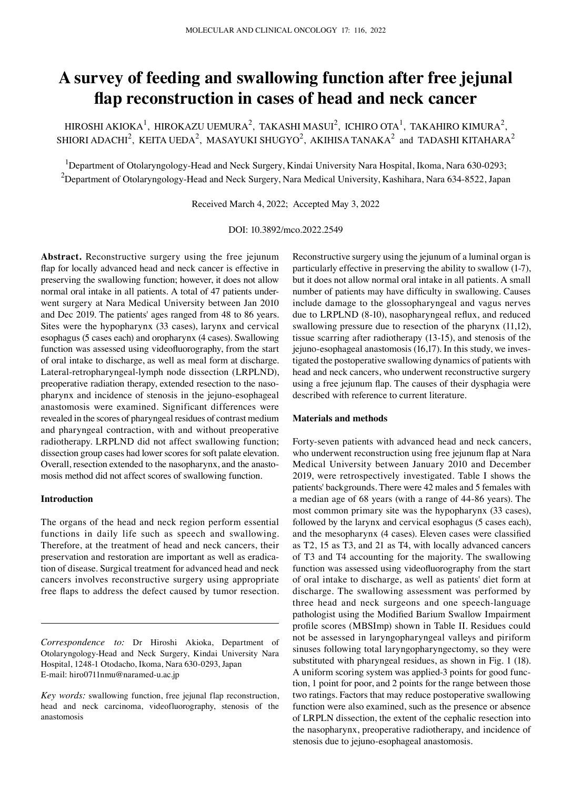# **A survey of feeding and swallowing function after free jejunal flap reconstruction in cases of head and neck cancer**

HIROSHI AKIOKA<sup>1</sup>, HIROKAZU UEMURA<sup>2</sup>, TAKASHI MASUI<sup>2</sup>, ICHIRO OTA<sup>1</sup>, TAKAHIRO KIMURA<sup>2</sup>, SHIORI ADACHI $^2$ , KEITA UEDA $^2$ , MASAYUKI SHUGYO $^2$ , AKIHISA TANAKA $^2$  and TADASHI KITAHARA $^2$ 

<sup>1</sup>Department of Otolaryngology-Head and Neck Surgery, Kindai University Nara Hospital, Ikoma, Nara 630-0293;  $^2$ Department of Otolaryngology-Head and Neck Surgery, Nara Medical University, Kashihara, Nara 634-8522, Japan

Received March 4, 2022; Accepted May 3, 2022

DOI: 10.3892/mco.2022.2549

**Abstract.** Reconstructive surgery using the free jejunum flap for locally advanced head and neck cancer is effective in preserving the swallowing function; however, it does not allow normal oral intake in all patients. A total of 47 patients underwent surgery at Nara Medical University between Jan 2010 and Dec 2019. The patients' ages ranged from 48 to 86 years. Sites were the hypopharynx (33 cases), larynx and cervical esophagus (5 cases each) and oropharynx (4 cases). Swallowing function was assessed using videofluorography, from the start of oral intake to discharge, as well as meal form at discharge. Lateral-retropharyngeal-lymph node dissection (LRPLND), preoperative radiation therapy, extended resection to the nasopharynx and incidence of stenosis in the jejuno‑esophageal anastomosis were examined. Significant differences were revealed in the scores of pharyngeal residues of contrast medium and pharyngeal contraction, with and without preoperative radiotherapy. LRPLND did not affect swallowing function; dissection group cases had lower scores for soft palate elevation. Overall, resection extended to the nasopharynx, and the anastomosis method did not affect scores of swallowing function.

# **Introduction**

The organs of the head and neck region perform essential functions in daily life such as speech and swallowing. Therefore, at the treatment of head and neck cancers, their preservation and restoration are important as well as eradication of disease. Surgical treatment for advanced head and neck cancers involves reconstructive surgery using appropriate free flaps to address the defect caused by tumor resection.

*Correspondence to:* Dr Hiroshi Akioka, Department of Otolaryngology‑Head and Neck Surgery, Kindai University Nara Hospital, 1248‑1 Otodacho, Ikoma, Nara 630‑0293, Japan E‑mail: hiro0711nmu@naramed‑u.ac.jp

*Key words:* swallowing function, free jejunal flap reconstruction, head and neck carcinoma, videofluorography, stenosis of the anastomosis

Reconstructive surgery using the jejunum of a luminal organ is particularly effective in preserving the ability to swallow (1‑7), but it does not allow normal oral intake in all patients. A small number of patients may have difficulty in swallowing. Causes include damage to the glossopharyngeal and vagus nerves due to LRPLND (8‑10), nasopharyngeal reflux, and reduced swallowing pressure due to resection of the pharynx (11,12), tissue scarring after radiotherapy (13‑15), and stenosis of the jejuno‑esophageal anastomosis (16,17). In this study, we investigated the postoperative swallowing dynamics of patients with head and neck cancers, who underwent reconstructive surgery using a free jejunum flap. The causes of their dysphagia were described with reference to current literature.

#### **Materials and methods**

Forty-seven patients with advanced head and neck cancers, who underwent reconstruction using free jejunum flap at Nara Medical University between January 2010 and December 2019, were retrospectively investigated. Table I shows the patients' backgrounds. There were 42 males and 5 females with a median age of 68 years (with a range of 44‑86 years). The most common primary site was the hypopharynx (33 cases), followed by the larynx and cervical esophagus (5 cases each), and the mesopharynx (4 cases). Eleven cases were classified as T2, 15 as T3, and 21 as T4, with locally advanced cancers of T3 and T4 accounting for the majority. The swallowing function was assessed using videofluorography from the start of oral intake to discharge, as well as patients' diet form at discharge. The swallowing assessment was performed by three head and neck surgeons and one speech‑language pathologist using the Modified Barium Swallow Impairment profile scores (MBSImp) shown in Table II. Residues could not be assessed in laryngopharyngeal valleys and piriform sinuses following total laryngopharyngectomy, so they were substituted with pharyngeal residues, as shown in Fig. 1 (18). A uniform scoring system was applied‑3 points for good function, 1 point for poor, and 2 points for the range between those two ratings. Factors that may reduce postoperative swallowing function were also examined, such as the presence or absence of LRPLN dissection, the extent of the cephalic resection into the nasopharynx, preoperative radiotherapy, and incidence of stenosis due to jejuno‑esophageal anastomosis.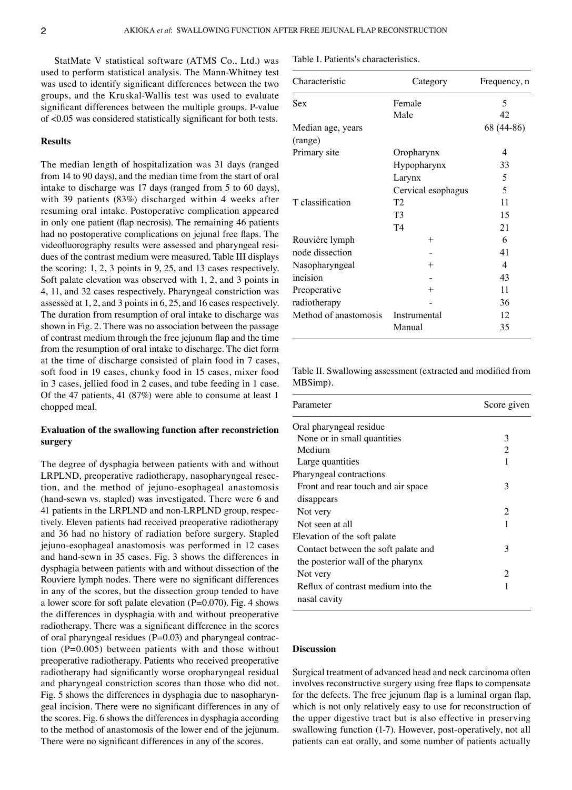StatMate V statistical software (ATMS Co., Ltd.) was used to perform statistical analysis. The Mann‑Whitney test was used to identify significant differences between the two groups, and the Kruskal‑Wallis test was used to evaluate significant differences between the multiple groups. P-value of <0.05 was considered statistically significant for both tests.

# **Results**

The median length of hospitalization was 31 days (ranged from 14 to 90 days), and the median time from the start of oral intake to discharge was 17 days (ranged from 5 to 60 days), with 39 patients (83%) discharged within 4 weeks after resuming oral intake. Postoperative complication appeared in only one patient (flap necrosis). The remaining 46 patients had no postoperative complications on jejunal free flaps. The videofluorography results were assessed and pharyngeal residues of the contrast medium were measured. Table III displays the scoring: 1, 2, 3 points in 9, 25, and 13 cases respectively. Soft palate elevation was observed with 1, 2, and 3 points in 4, 11, and 32 cases respectively. Pharyngeal constriction was assessed at 1, 2, and 3 points in 6, 25, and 16 cases respectively. The duration from resumption of oral intake to discharge was shown in Fig. 2. There was no association between the passage of contrast medium through the free jejunum flap and the time from the resumption of oral intake to discharge. The diet form at the time of discharge consisted of plain food in 7 cases, soft food in 19 cases, chunky food in 15 cases, mixer food in 3 cases, jellied food in 2 cases, and tube feeding in 1 case. Of the 47 patients, 41 (87%) were able to consume at least 1 chopped meal.

# **Evaluation of the swallowing function after reconstriction surgery**

The degree of dysphagia between patients with and without LRPLND, preoperative radiotherapy, nasopharyngeal resection, and the method of jejuno‑esophageal anastomosis (hand‑sewn vs. stapled) was investigated. There were 6 and 41 patients in the LRPLND and non-LRPLND group, respectively. Eleven patients had received preoperative radiotherapy and 36 had no history of radiation before surgery. Stapled jejuno‑esophageal anastomosis was performed in 12 cases and hand‑sewn in 35 cases. Fig. 3 shows the differences in dysphagia between patients with and without dissection of the Rouviere lymph nodes. There were no significant differences in any of the scores, but the dissection group tended to have a lower score for soft palate elevation (P=0.070). Fig. 4 shows the differences in dysphagia with and without preoperative radiotherapy. There was a significant difference in the scores of oral pharyngeal residues  $(P=0.03)$  and pharyngeal contraction (P=0.005) between patients with and those without preoperative radiotherapy. Patients who received preoperative radiotherapy had significantly worse oropharyngeal residual and pharyngeal constriction scores than those who did not. Fig. 5 shows the differences in dysphagia due to nasopharyngeal incision. There were no significant differences in any of the scores. Fig. 6 shows the differences in dysphagia according to the method of anastomosis of the lower end of the jejunum. There were no significant differences in any of the scores.

Table I. Patients's characteristics.

| Characteristic        | Category           | Frequency, n |
|-----------------------|--------------------|--------------|
| Sex                   | Female             | 5            |
|                       | Male               | 42           |
| Median age, years     |                    | 68 (44-86)   |
| (range)               |                    |              |
| Primary site          | Oropharynx         | 4            |
|                       | Hypopharynx        | 33           |
|                       | Larynx             | 5            |
|                       | Cervical esophagus | 5            |
| T classification      | T <sub>2</sub>     | 11           |
|                       | T <sub>3</sub>     | 15           |
|                       | T4                 | 21           |
| Rouvière lymph        | $^{+}$             | 6            |
| node dissection       |                    | 41           |
| Nasopharyngeal        | $^{+}$             | 4            |
| incision              |                    | 43           |
| Preoperative          | $^{+}$             | 11           |
| radiotherapy          |                    | 36           |
| Method of anastomosis | Instrumental       | 12           |
|                       | Manual             | 35           |
|                       |                    |              |

Table II. Swallowing assessment (extracted and modified from MBSimp).

| Parameter                           | Score given |  |
|-------------------------------------|-------------|--|
| Oral pharyngeal residue             |             |  |
| None or in small quantities         | 3           |  |
| Medium                              | 2           |  |
| Large quantities                    | 1           |  |
| Pharyngeal contractions             |             |  |
| Front and rear touch and air space  | 3           |  |
| disappears                          |             |  |
| Not very                            | 2           |  |
| Not seen at all                     | 1           |  |
| Elevation of the soft palate        |             |  |
| Contact between the soft palate and | 3           |  |
| the posterior wall of the pharynx   |             |  |
| Not very                            | 2           |  |
| Reflux of contrast medium into the  | 1           |  |
| nasal cavity                        |             |  |

# **Discussion**

Surgical treatment of advanced head and neck carcinoma often involves reconstructive surgery using free flaps to compensate for the defects. The free jejunum flap is a luminal organ flap, which is not only relatively easy to use for reconstruction of the upper digestive tract but is also effective in preserving swallowing function (1-7). However, post-operatively, not all patients can eat orally, and some number of patients actually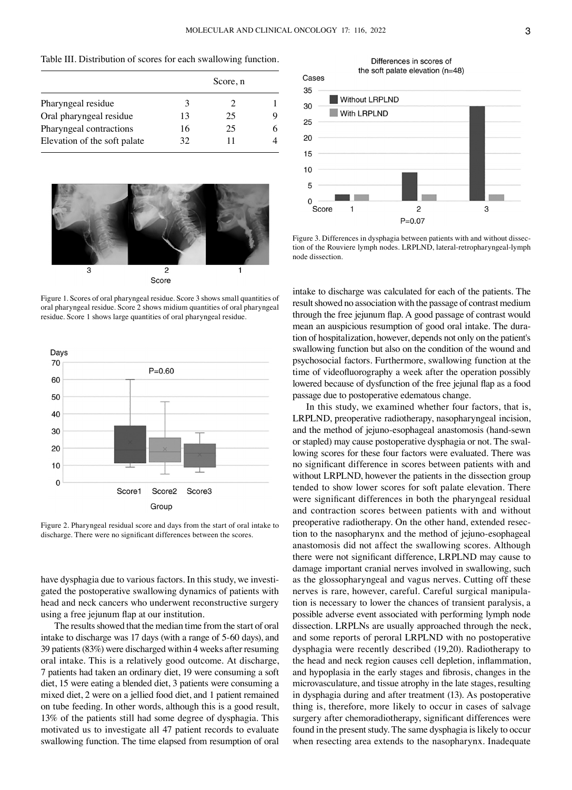Table III. Distribution of scores for each swallowing function.

|                              | Score, n |    |  |
|------------------------------|----------|----|--|
| Pharyngeal residue           |          |    |  |
| Oral pharyngeal residue      | 13       | 25 |  |
| Pharyngeal contractions      | 16       | 25 |  |
| Elevation of the soft palate | 32       | 11 |  |



Figure 1. Scores of oral pharyngeal residue. Score 3 shows small quantities of oral pharyngeal residue. Score 2 shows midium quantities of oral pharyngeal residue. Score 1 shows large quantities of oral pharyngeal residue.



Figure 2. Pharyngeal residual score and days from the start of oral intake to discharge. There were no significant differences between the scores.

have dysphagia due to various factors. In this study, we investigated the postoperative swallowing dynamics of patients with head and neck cancers who underwent reconstructive surgery using a free jejunum flap at our institution.

The results showed that the median time from the start of oral intake to discharge was 17 days (with a range of 5‑60 days), and 39 patients (83%) were discharged within 4 weeks after resuming oral intake. This is a relatively good outcome. At discharge, 7 patients had taken an ordinary diet, 19 were consuming a soft diet, 15 were eating a blended diet, 3 patients were consuming a mixed diet, 2 were on a jellied food diet, and 1 patient remained on tube feeding. In other words, although this is a good result, 13% of the patients still had some degree of dysphagia. This motivated us to investigate all 47 patient records to evaluate swallowing function. The time elapsed from resumption of oral





Figure 3. Differences in dysphagia between patients with and without dissection of the Rouviere lymph nodes. LRPLND, lateral-retropharyngeal-lymph node dissection.

intake to discharge was calculated for each of the patients. The result showed no association with the passage of contrast medium through the free jejunum flap. A good passage of contrast would mean an auspicious resumption of good oral intake. The duration of hospitalization, however, depends not only on the patient's swallowing function but also on the condition of the wound and psychosocial factors. Furthermore, swallowing function at the time of videofluorography a week after the operation possibly lowered because of dysfunction of the free jejunal flap as a food passage due to postoperative edematous change.

In this study, we examined whether four factors, that is, LRPLND, preoperative radiotherapy, nasopharyngeal incision, and the method of jejuno‑esophageal anastomosis (hand‑sewn or stapled) may cause postoperative dysphagia or not. The swallowing scores for these four factors were evaluated. There was no significant difference in scores between patients with and without LRPLND, however the patients in the dissection group tended to show lower scores for soft palate elevation. There were significant differences in both the pharyngeal residual and contraction scores between patients with and without preoperative radiotherapy. On the other hand, extended resection to the nasopharynx and the method of jejuno‑esophageal anastomosis did not affect the swallowing scores. Although there were not significant difference, LRPLND may cause to damage important cranial nerves involved in swallowing, such as the glossopharyngeal and vagus nerves. Cutting off these nerves is rare, however, careful. Careful surgical manipulation is necessary to lower the chances of transient paralysis, a possible adverse event associated with performing lymph node dissection. LRPLNs are usually approached through the neck, and some reports of peroral LRPLND with no postoperative dysphagia were recently described (19,20). Radiotherapy to the head and neck region causes cell depletion, inflammation, and hypoplasia in the early stages and fibrosis, changes in the microvasculature, and tissue atrophy in the late stages, resulting in dysphagia during and after treatment (13). As postoperative thing is, therefore, more likely to occur in cases of salvage surgery after chemoradiotherapy, significant differences were found in the present study. The same dysphagia is likely to occur when resecting area extends to the nasopharynx. Inadequate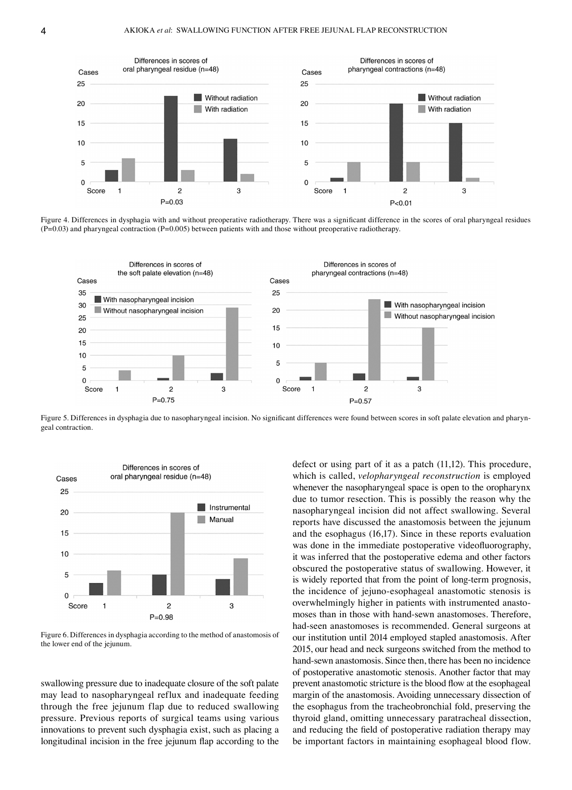

Figure 4. Differences in dysphagia with and without preoperative radiotherapy. There was a significant difference in the scores of oral pharyngeal residues  $(P=0.03)$  and pharyngeal contraction  $(P=0.005)$  between patients with and those without preoperative radiotherapy.



Figure 5. Differences in dysphagia due to nasopharyngeal incision. No significant differences were found between scores in soft palate elevation and pharyngeal contraction.



Figure 6. Differences in dysphagia according to the method of anastomosis of the lower end of the jejunum.

swallowing pressure due to inadequate closure of the soft palate may lead to nasopharyngeal reflux and inadequate feeding through the free jejunum flap due to reduced swallowing pressure. Previous reports of surgical teams using various innovations to prevent such dysphagia exist, such as placing a longitudinal incision in the free jejunum flap according to the defect or using part of it as a patch (11,12). This procedure, which is called, *velopharyngeal reconstruction* is employed whenever the nasopharyngeal space is open to the oropharynx due to tumor resection. This is possibly the reason why the nasopharyngeal incision did not affect swallowing. Several reports have discussed the anastomosis between the jejunum and the esophagus (16,17). Since in these reports evaluation was done in the immediate postoperative videofluorography, it was inferred that the postoperative edema and other factors obscured the postoperative status of swallowing. However, it is widely reported that from the point of long-term prognosis, the incidence of jejuno‑esophageal anastomotic stenosis is overwhelmingly higher in patients with instrumented anastomoses than in those with hand‑sewn anastomoses. Therefore, had-seen anastomoses is recommended. General surgeons at our institution until 2014 employed stapled anastomosis. After 2015, our head and neck surgeons switched from the method to hand-sewn anastomosis. Since then, there has been no incidence of postoperative anastomotic stenosis. Another factor that may prevent anastomotic stricture is the blood flow at the esophageal margin of the anastomosis. Avoiding unnecessary dissection of the esophagus from the tracheobronchial fold, preserving the thyroid gland, omitting unnecessary paratracheal dissection, and reducing the field of postoperative radiation therapy may be important factors in maintaining esophageal blood flow.